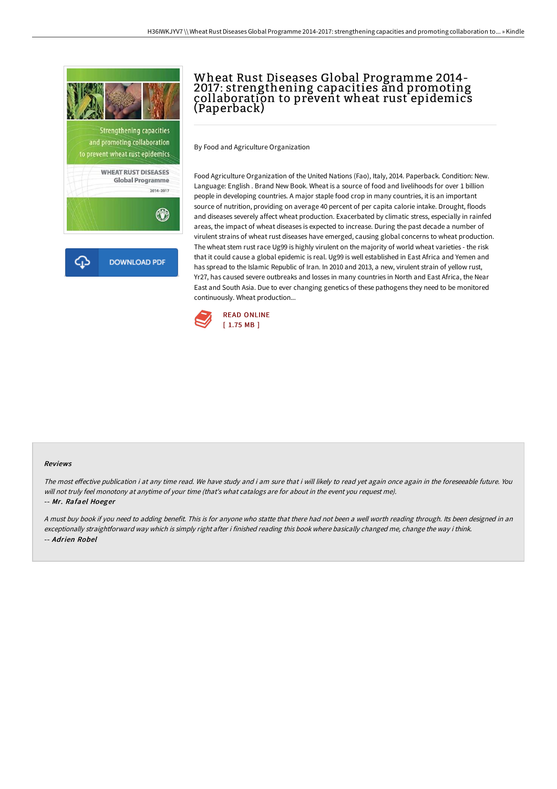

and promoting collaboration to prevent wheat rust epidemics

**WHEAT RUST DISEASES Global Programme** 2014-2017  $\circledast$ 

**DOWNLOAD PDF** Ω

## Wheat Rust Diseases Global Programme 2014- 2017: strengthening capacities and promoting collaboration to prevent wheat rust epidemics (Paperback)

By Food and Agriculture Organization

Food Agriculture Organization of the United Nations (Fao), Italy, 2014. Paperback. Condition: New. Language: English . Brand New Book. Wheat is a source of food and livelihoods for over 1 billion people in developing countries. A major staple food crop in many countries, it is an important source of nutrition, providing on average 40 percent of per capita calorie intake. Drought, floods and diseases severely affect wheat production. Exacerbated by climatic stress, especially in rainfed areas, the impact of wheat diseases is expected to increase. During the past decade a number of virulent strains of wheat rust diseases have emerged, causing global concerns to wheat production. The wheat stem rust race Ug99 is highly virulent on the majority of world wheat varieties - the risk that it could cause a global epidemic is real. Ug99 is well established in East Africa and Yemen and has spread to the Islamic Republic of Iran. In 2010 and 2013, a new, virulent strain of yellow rust, Yr27, has caused severe outbreaks and losses in many countries in North and East Africa, the Near East and South Asia. Due to ever changing genetics of these pathogens they need to be monitored continuously. Wheat production...



#### Reviews

The most effective publication i at any time read. We have study and i am sure that i will likely to read yet again once again in the foreseeable future. You will not truly feel monotony at anytime of your time (that's what catalogs are for about in the event you request me).

-- Mr. Rafael Hoeger

<sup>A</sup> must buy book if you need to adding benefit. This is for anyone who statte that there had not been <sup>a</sup> well worth reading through. Its been designed in an exceptionally straightforward way which is simply right after i finished reading this book where basically changed me, change the way i think. -- Adrien Robel